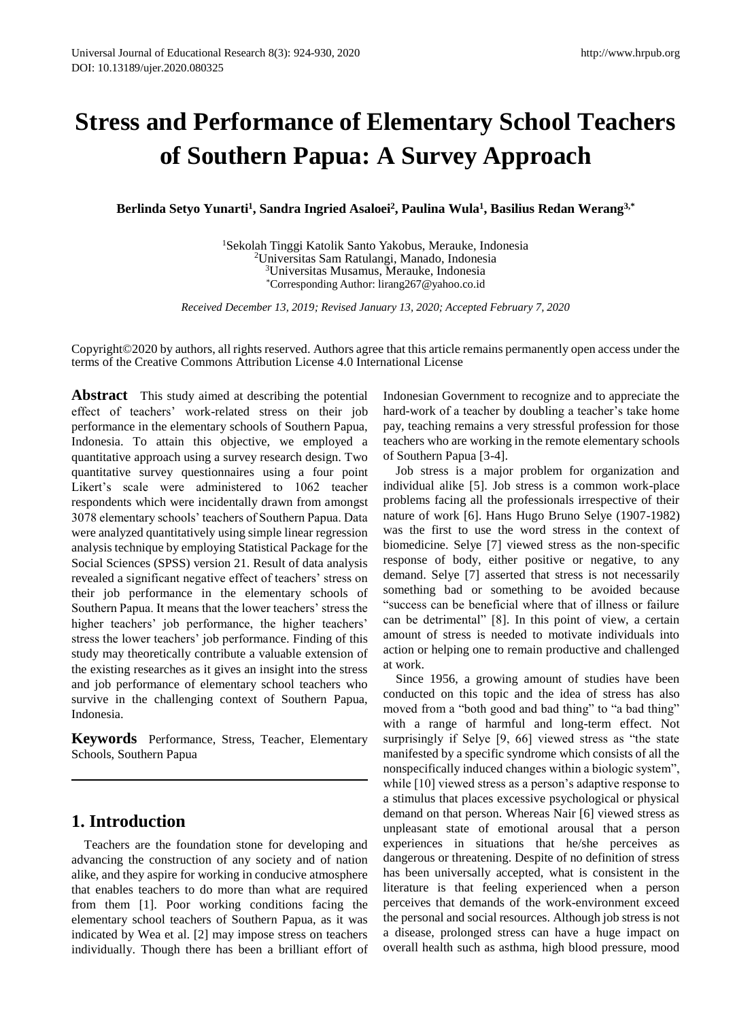# **Stress and Performance of Elementary School Teachers of Southern Papua: A Survey Approach**

**Berlinda Setyo Yunarti<sup>1</sup> , Sandra Ingried Asaloei<sup>2</sup> , Paulina Wula<sup>1</sup> , Basilius Redan Werang3,\***

Sekolah Tinggi Katolik Santo Yakobus, Merauke, Indonesia Universitas Sam Ratulangi, Manado, Indonesia Universitas Musamus, Merauke, Indonesia \*Corresponding Author: lirang267@yahoo.co.id

*Received December 13, 2019; Revised January 13, 2020; Accepted February 7, 2020*

Copyright©2020 by authors, all rights reserved. Authors agree that this article remains permanently open access under the terms of the Creative Commons Attribution License 4.0 International License

**Abstract** This study aimed at describing the potential effect of teachers' work-related stress on their job performance in the elementary schools of Southern Papua, Indonesia. To attain this objective, we employed a quantitative approach using a survey research design. Two quantitative survey questionnaires using a four point Likert's scale were administered to 1062 teacher respondents which were incidentally drawn from amongst 3078 elementary schools' teachers of Southern Papua. Data were analyzed quantitatively using simple linear regression analysis technique by employing Statistical Package for the Social Sciences (SPSS) version 21. Result of data analysis revealed a significant negative effect of teachers' stress on their job performance in the elementary schools of Southern Papua. It means that the lower teachers' stress the higher teachers' job performance, the higher teachers' stress the lower teachers' job performance. Finding of this study may theoretically contribute a valuable extension of the existing researches as it gives an insight into the stress and job performance of elementary school teachers who survive in the challenging context of Southern Papua, Indonesia.

**Keywords** Performance, Stress, Teacher, Elementary Schools, Southern Papua

# **1. Introduction**

Teachers are the foundation stone for developing and advancing the construction of any society and of nation alike, and they aspire for working in conducive atmosphere that enables teachers to do more than what are required from them [1]. Poor working conditions facing the elementary school teachers of Southern Papua, as it was indicated by Wea et al. [2] may impose stress on teachers individually. Though there has been a brilliant effort of Indonesian Government to recognize and to appreciate the hard-work of a teacher by doubling a teacher's take home pay, teaching remains a very stressful profession for those teachers who are working in the remote elementary schools of Southern Papua [3-4].

Job stress is a major problem for organization and individual alike [5]. Job stress is a common work-place problems facing all the professionals irrespective of their nature of work [6]. Hans Hugo Bruno Selye (1907-1982) was the first to use the word stress in the context of biomedicine. Selye [7] viewed stress as the non-specific response of body, either positive or negative, to any demand. Selye [7] asserted that stress is not necessarily something bad or something to be avoided because "success can be beneficial where that of illness or failure can be detrimental" [8]. In this point of view, a certain amount of stress is needed to motivate individuals into action or helping one to remain productive and challenged at work.

Since 1956, a growing amount of studies have been conducted on this topic and the idea of stress has also moved from a "both good and bad thing" to "a bad thing" with a range of harmful and long-term effect. Not surprisingly if Selye [9, 66] viewed stress as "the state manifested by a specific syndrome which consists of all the nonspecifically induced changes within a biologic system", while [10] viewed stress as a person's adaptive response to a stimulus that places excessive psychological or physical demand on that person. Whereas Nair [6] viewed stress as unpleasant state of emotional arousal that a person experiences in situations that he/she perceives as dangerous or threatening. Despite of no definition of stress has been universally accepted, what is consistent in the literature is that feeling experienced when a person perceives that demands of the work-environment exceed the personal and social resources. Although job stress is not a disease, prolonged stress can have a huge impact on overall health such as asthma, high blood pressure, mood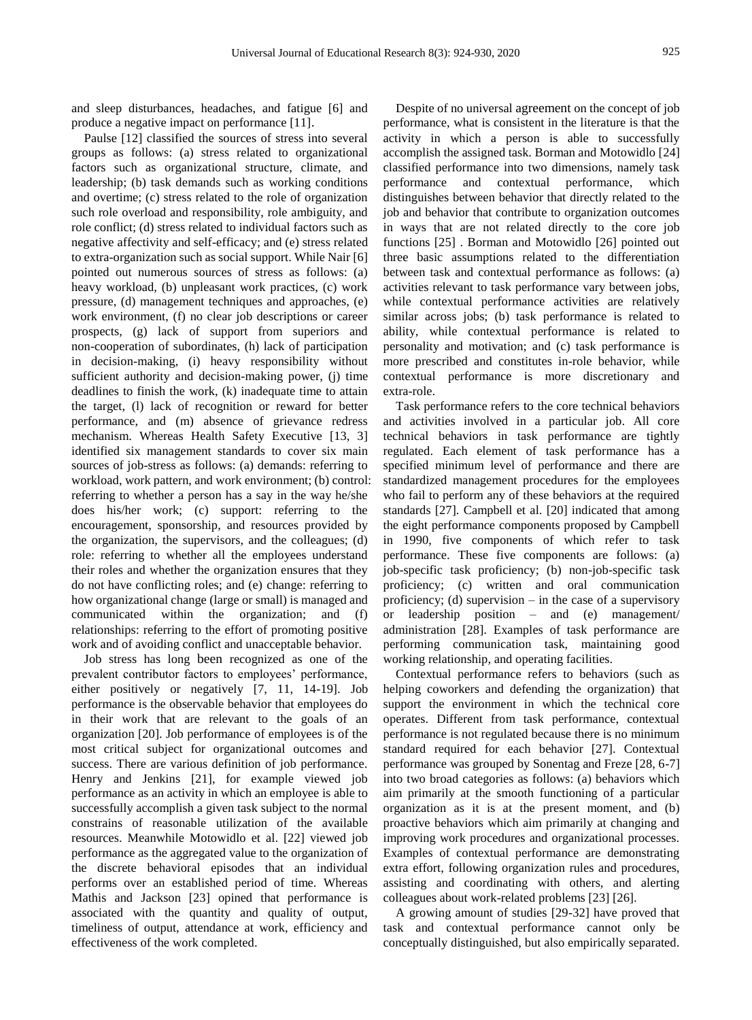and sleep disturbances, headaches, and fatigue [6] and produce a negative impact on performance [11].

Paulse [12] classified the sources of stress into several groups as follows: (a) stress related to organizational factors such as organizational structure, climate, and leadership; (b) task demands such as working conditions and overtime; (c) stress related to the role of organization such role overload and responsibility, role ambiguity, and role conflict; (d) stress related to individual factors such as negative affectivity and self-efficacy; and (e) stress related to extra-organization such as social support. While Nair [6] pointed out numerous sources of stress as follows: (a) heavy workload, (b) unpleasant work practices, (c) work pressure, (d) management techniques and approaches, (e) work environment, (f) no clear job descriptions or career prospects, (g) lack of support from superiors and non-cooperation of subordinates, (h) lack of participation in decision-making, (i) heavy responsibility without sufficient authority and decision-making power, (j) time deadlines to finish the work, (k) inadequate time to attain the target, (l) lack of recognition or reward for better performance, and (m) absence of grievance redress mechanism. Whereas Health Safety Executive [13, 3] identified six management standards to cover six main sources of job-stress as follows: (a) demands: referring to workload, work pattern, and work environment; (b) control: referring to whether a person has a say in the way he/she does his/her work; (c) support: referring to the encouragement, sponsorship, and resources provided by the organization, the supervisors, and the colleagues; (d) role: referring to whether all the employees understand their roles and whether the organization ensures that they do not have conflicting roles; and (e) change: referring to how organizational change (large or small) is managed and communicated within the organization; and (f) relationships: referring to the effort of promoting positive work and of avoiding conflict and unacceptable behavior.

Job stress has long been recognized as one of the prevalent contributor factors to employees' performance, either positively or negatively [7, 11, 14-19]. Job performance is the observable behavior that employees do in their work that are relevant to the goals of an organization [20]. Job performance of employees is of the most critical subject for organizational outcomes and success. There are various definition of job performance. Henry and Jenkins [21], for example viewed job performance as an activity in which an employee is able to successfully accomplish a given task subject to the normal constrains of reasonable utilization of the available resources. Meanwhile Motowidlo et al. [22] viewed job performance as the aggregated value to the organization of the discrete behavioral episodes that an individual performs over an established period of time. Whereas Mathis and Jackson [23] opined that performance is associated with the quantity and quality of output, timeliness of output, attendance at work, efficiency and effectiveness of the work completed.

Despite of no universal agreement on the concept of job performance, what is consistent in the literature is that the activity in which a person is able to successfully accomplish the assigned task. Borman and Motowidlo [24] classified performance into two dimensions, namely task performance and contextual performance, which distinguishes between behavior that directly related to the job and behavior that contribute to organization outcomes in ways that are not related directly to the core job functions [25] . Borman and Motowidlo [26] pointed out three basic assumptions related to the differentiation between task and contextual performance as follows: (a) activities relevant to task performance vary between jobs, while contextual performance activities are relatively similar across jobs; (b) task performance is related to ability, while contextual performance is related to personality and motivation; and (c) task performance is more prescribed and constitutes in-role behavior, while contextual performance is more discretionary and extra-role.

Task performance refers to the core technical behaviors and activities involved in a particular job. All core technical behaviors in task performance are tightly regulated. Each element of task performance has a specified minimum level of performance and there are standardized management procedures for the employees who fail to perform any of these behaviors at the required standards [27]. Campbell et al. [20] indicated that among the eight performance components proposed by Campbell in 1990, five components of which refer to task performance. These five components are follows: (a) job-specific task proficiency; (b) non-job-specific task proficiency; (c) written and oral communication proficiency; (d) supervision – in the case of a supervisory or leadership position – and (e) management/ administration [28]. Examples of task performance are performing communication task, maintaining good working relationship, and operating facilities.

Contextual performance refers to behaviors (such as helping coworkers and defending the organization) that support the environment in which the technical core operates. Different from task performance, contextual performance is not regulated because there is no minimum standard required for each behavior [27]. Contextual performance was grouped by Sonentag and Freze [28, 6-7] into two broad categories as follows: (a) behaviors which aim primarily at the smooth functioning of a particular organization as it is at the present moment, and (b) proactive behaviors which aim primarily at changing and improving work procedures and organizational processes. Examples of contextual performance are demonstrating extra effort, following organization rules and procedures, assisting and coordinating with others, and alerting colleagues about work-related problems [23] [26].

A growing amount of studies [29-32] have proved that task and contextual performance cannot only be conceptually distinguished, but also empirically separated.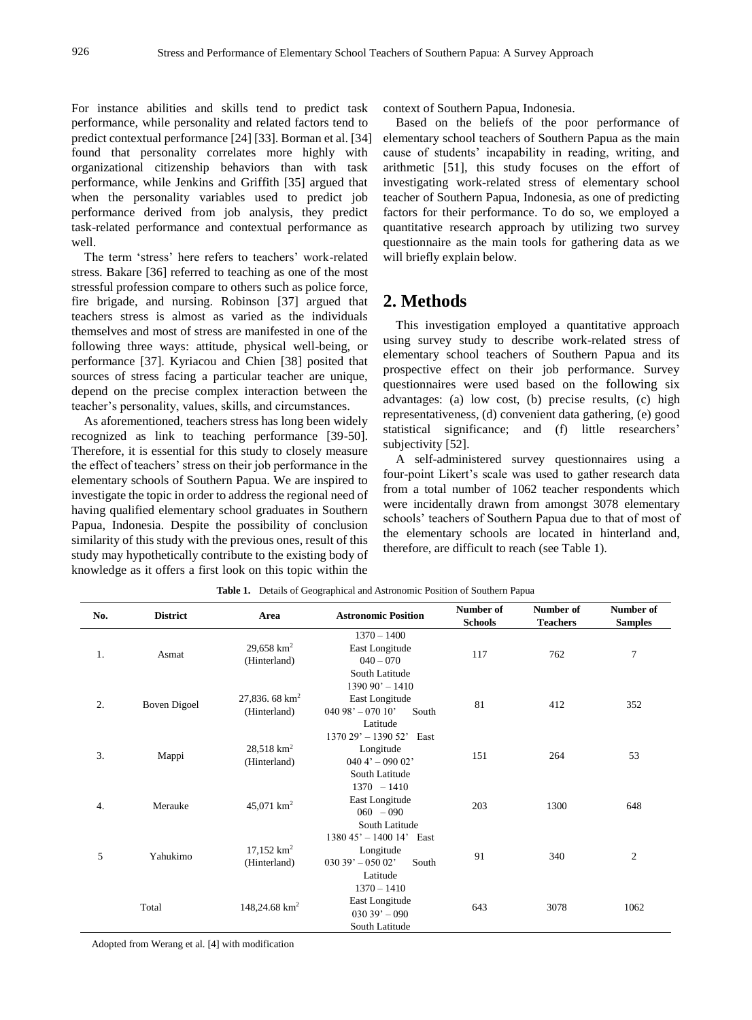For instance abilities and skills tend to predict task performance, while personality and related factors tend to predict contextual performance [24] [33]. Borman et al. [34] found that personality correlates more highly with organizational citizenship behaviors than with task performance, while Jenkins and Griffith [35] argued that when the personality variables used to predict job performance derived from job analysis, they predict task-related performance and contextual performance as well.

The term 'stress' here refers to teachers' work-related stress. Bakare [36] referred to teaching as one of the most stressful profession compare to others such as police force, fire brigade, and nursing. Robinson [37] argued that teachers stress is almost as varied as the individuals themselves and most of stress are manifested in one of the following three ways: attitude, physical well-being, or performance [37]. Kyriacou and Chien [38] posited that sources of stress facing a particular teacher are unique, depend on the precise complex interaction between the teacher's personality, values, skills, and circumstances.

As aforementioned, teachers stress has long been widely recognized as link to teaching performance [39-50]. Therefore, it is essential for this study to closely measure the effect of teachers' stress on their job performance in the elementary schools of Southern Papua. We are inspired to investigate the topic in order to address the regional need of having qualified elementary school graduates in Southern Papua, Indonesia. Despite the possibility of conclusion similarity of this study with the previous ones, result of this study may hypothetically contribute to the existing body of knowledge as it offers a first look on this topic within the

context of Southern Papua, Indonesia.

Based on the beliefs of the poor performance of elementary school teachers of Southern Papua as the main cause of students' incapability in reading, writing, and arithmetic [51], this study focuses on the effort of investigating work-related stress of elementary school teacher of Southern Papua, Indonesia, as one of predicting factors for their performance. To do so, we employed a quantitative research approach by utilizing two survey questionnaire as the main tools for gathering data as we will briefly explain below.

#### **2. Methods**

This investigation employed a quantitative approach using survey study to describe work-related stress of elementary school teachers of Southern Papua and its prospective effect on their job performance. Survey questionnaires were used based on the following six advantages: (a) low cost, (b) precise results, (c) high representativeness, (d) convenient data gathering, (e) good statistical significance; and (f) little researchers' subjectivity [52].

A self-administered survey questionnaires using a four-point Likert's scale was used to gather research data from a total number of 1062 teacher respondents which were incidentally drawn from amongst 3078 elementary schools' teachers of Southern Papua due to that of most of the elementary schools are located in hinterland and, therefore, are difficult to reach (see Table 1).

| No.              | <b>District</b>     | Area                                     | <b>Astronomic Position</b>                                                                     | Number of<br><b>Schools</b> | Number of<br><b>Teachers</b> | Number of<br><b>Samples</b> |
|------------------|---------------------|------------------------------------------|------------------------------------------------------------------------------------------------|-----------------------------|------------------------------|-----------------------------|
| 1.               | Asmat               | 29,658 $km^2$<br>(Hinterland)            | $1370 - 1400$<br>East Longitude<br>$040 - 070$                                                 | 117                         | 762                          | 7                           |
| 2.               | <b>Boven Digoel</b> | 27,836.68 $km^2$<br>(Hinterland)         | South Latitude<br>$139090' - 1410$<br>East Longitude<br>$04098' - 07010'$<br>South<br>Latitude | 81                          | 412                          | 352                         |
| 3.               | Mappi               | $28,518$ km <sup>2</sup><br>(Hinterland) | $137029' - 139052'$<br>East<br>Longitude<br>$0404' - 09002'$<br>South Latitude                 | 151                         | 264                          | 53                          |
| $\overline{4}$ . | Merauke             | 45,071 $km^2$                            | $1370 - 1410$<br>East Longitude<br>$060 - 090$<br>South Latitude                               | 203                         | 1300                         | 648                         |
| 5                | Yahukimo            | $17,152$ km <sup>2</sup><br>(Hinterland) | $138045' - 140014'$ East<br>Longitude<br>$03039' - 05002'$<br>South<br>Latitude                | 91                          | 340                          | $\mathbf{2}$                |
|                  | Total               | $148,24.68$ km <sup>2</sup>              | $1370 - 1410$<br>East Longitude<br>$03039' - 090$<br>South Latitude                            | 643                         | 3078                         | 1062                        |

**Table 1.** Details of Geographical and Astronomic Position of Southern Papua

Adopted from Werang et al. [4] with modification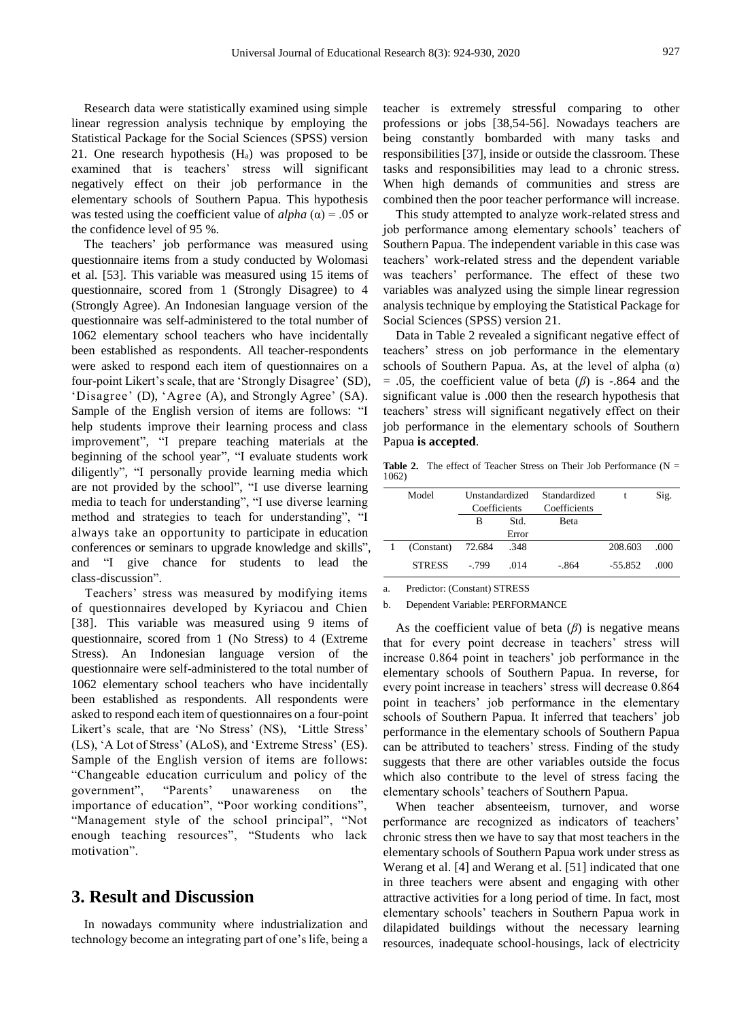Research data were statistically examined using simple linear regression analysis technique by employing the Statistical Package for the Social Sciences (SPSS) version 21. One research hypothesis  $(H_a)$  was proposed to be examined that is teachers' stress will significant negatively effect on their job performance in the elementary schools of Southern Papua. This hypothesis was tested using the coefficient value of  $alpha (\alpha) = .05$  or the confidence level of 95 %.

The teachers' job performance was measured using questionnaire items from a study conducted by Wolomasi et al. [53]. This variable was measured using 15 items of questionnaire, scored from 1 (Strongly Disagree) to 4 (Strongly Agree). An Indonesian language version of the questionnaire was self-administered to the total number of 1062 elementary school teachers who have incidentally been established as respondents. All teacher-respondents were asked to respond each item of questionnaires on a four-point Likert's scale, that are 'Strongly Disagree' (SD), 'Disagree' (D), 'Agree (A), and Strongly Agree' (SA). Sample of the English version of items are follows: "I help students improve their learning process and class improvement", "I prepare teaching materials at the beginning of the school year", "I evaluate students work diligently", "I personally provide learning media which are not provided by the school", "I use diverse learning media to teach for understanding", "I use diverse learning method and strategies to teach for understanding", "I always take an opportunity to participate in education conferences or seminars to upgrade knowledge and skills", and "I give chance for students to lead the class-discussion".

Teachers' stress was measured by modifying items of questionnaires developed by Kyriacou and Chien [38]. This variable was measured using 9 items of questionnaire, scored from 1 (No Stress) to 4 (Extreme Stress). An Indonesian language version of the questionnaire were self-administered to the total number of 1062 elementary school teachers who have incidentally been established as respondents. All respondents were asked to respond each item of questionnaires on a four-point Likert's scale, that are 'No Stress' (NS), 'Little Stress' (LS), 'A Lot of Stress' (ALoS), and 'Extreme Stress' (ES). Sample of the English version of items are follows: "Changeable education curriculum and policy of the government", "Parents' unawareness on the importance of education", "Poor working conditions", "Management style of the school principal", "Not enough teaching resources", "Students who lack motivation".

### **3. Result and Discussion**

In nowadays community where industrialization and technology become an integrating part of one's life, being a teacher is extremely stressful comparing to other professions or jobs [38,54-56]. Nowadays teachers are being constantly bombarded with many tasks and responsibilities [37], inside or outside the classroom. These tasks and responsibilities may lead to a chronic stress. When high demands of communities and stress are combined then the poor teacher performance will increase.

This study attempted to analyze work-related stress and job performance among elementary schools' teachers of Southern Papua. The independent variable in this case was teachers' work-related stress and the dependent variable was teachers' performance. The effect of these two variables was analyzed using the simple linear regression analysis technique by employing the Statistical Package for Social Sciences (SPSS) version 21.

Data in Table 2 revealed a significant negative effect of teachers' stress on job performance in the elementary schools of Southern Papua. As, at the level of alpha  $(\alpha)$  $= .05$ , the coefficient value of beta ( $\beta$ ) is -.864 and the significant value is .000 then the research hypothesis that teachers' stress will significant negatively effect on their job performance in the elementary schools of Southern Papua **is accepted**.

**Table 2.** The effect of Teacher Stress on Their Job Performance ( $N =$ 1062)

| Model               | Unstandardized<br>Coefficients |       | Standardized<br>Coefficients |           | Sig. |
|---------------------|--------------------------------|-------|------------------------------|-----------|------|
|                     | в                              | Std.  | <b>B</b> eta                 |           |      |
|                     |                                | Error |                              |           |      |
| $(Constant)$ 72.684 |                                | .348  |                              | 208.603   | .000 |
| <b>STRESS</b>       | $-799$                         | .014  | $-.864$                      | $-55.852$ | .000 |

a. Predictor: (Constant) STRESS

b. Dependent Variable: PERFORMANCE

As the coefficient value of beta  $(\beta)$  is negative means that for every point decrease in teachers' stress will increase 0.864 point in teachers' job performance in the elementary schools of Southern Papua. In reverse, for every point increase in teachers' stress will decrease 0.864 point in teachers' job performance in the elementary schools of Southern Papua. It inferred that teachers' job performance in the elementary schools of Southern Papua can be attributed to teachers' stress. Finding of the study suggests that there are other variables outside the focus which also contribute to the level of stress facing the elementary schools' teachers of Southern Papua.

When teacher absenteeism, turnover, and worse performance are recognized as indicators of teachers' chronic stress then we have to say that most teachers in the elementary schools of Southern Papua work under stress as Werang et al. [4] and Werang et al. [51] indicated that one in three teachers were absent and engaging with other attractive activities for a long period of time. In fact, most elementary schools' teachers in Southern Papua work in dilapidated buildings without the necessary learning resources, inadequate school-housings, lack of electricity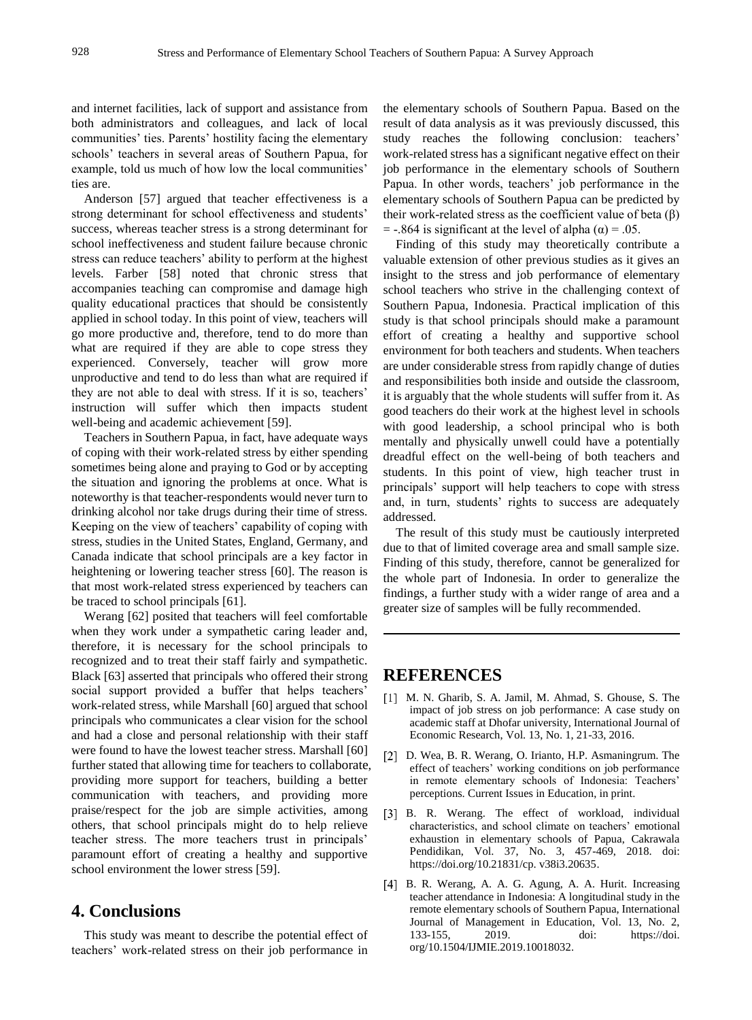and internet facilities, lack of support and assistance from both administrators and colleagues, and lack of local communities' ties. Parents' hostility facing the elementary schools' teachers in several areas of Southern Papua, for example, told us much of how low the local communities' ties are.

Anderson [57] argued that teacher effectiveness is a strong determinant for school effectiveness and students' success, whereas teacher stress is a strong determinant for school ineffectiveness and student failure because chronic stress can reduce teachers' ability to perform at the highest levels. Farber [58] noted that chronic stress that accompanies teaching can compromise and damage high quality educational practices that should be consistently applied in school today. In this point of view, teachers will go more productive and, therefore, tend to do more than what are required if they are able to cope stress they experienced. Conversely, teacher will grow more unproductive and tend to do less than what are required if they are not able to deal with stress. If it is so, teachers' instruction will suffer which then impacts student well-being and academic achievement [59].

Teachers in Southern Papua, in fact, have adequate ways of coping with their work-related stress by either spending sometimes being alone and praying to God or by accepting the situation and ignoring the problems at once. What is noteworthy is that teacher-respondents would never turn to drinking alcohol nor take drugs during their time of stress. Keeping on the view of teachers' capability of coping with stress, studies in the United States, England, Germany, and Canada indicate that school principals are a key factor in heightening or lowering teacher stress [60]. The reason is that most work-related stress experienced by teachers can be traced to school principals [61].

Werang [62] posited that teachers will feel comfortable when they work under a sympathetic caring leader and, therefore, it is necessary for the school principals to recognized and to treat their staff fairly and sympathetic. Black [63] asserted that principals who offered their strong social support provided a buffer that helps teachers' work-related stress, while Marshall [60] argued that school principals who communicates a clear vision for the school and had a close and personal relationship with their staff were found to have the lowest teacher stress. Marshall [60] further stated that allowing time for teachers to collaborate, providing more support for teachers, building a better communication with teachers, and providing more praise/respect for the job are simple activities, among others, that school principals might do to help relieve teacher stress. The more teachers trust in principals' paramount effort of creating a healthy and supportive school environment the lower stress [59].

## **4. Conclusions**

This study was meant to describe the potential effect of teachers' work-related stress on their job performance in

the elementary schools of Southern Papua. Based on the result of data analysis as it was previously discussed, this study reaches the following conclusion: teachers' work-related stress has a significant negative effect on their job performance in the elementary schools of Southern Papua. In other words, teachers' job performance in the elementary schools of Southern Papua can be predicted by their work-related stress as the coefficient value of beta (β)  $=$  -.864 is significant at the level of alpha ( $\alpha$ ) = .05.

Finding of this study may theoretically contribute a valuable extension of other previous studies as it gives an insight to the stress and job performance of elementary school teachers who strive in the challenging context of Southern Papua, Indonesia. Practical implication of this study is that school principals should make a paramount effort of creating a healthy and supportive school environment for both teachers and students. When teachers are under considerable stress from rapidly change of duties and responsibilities both inside and outside the classroom, it is arguably that the whole students will suffer from it. As good teachers do their work at the highest level in schools with good leadership, a school principal who is both mentally and physically unwell could have a potentially dreadful effect on the well-being of both teachers and students. In this point of view, high teacher trust in principals' support will help teachers to cope with stress and, in turn, students' rights to success are adequately addressed.

The result of this study must be cautiously interpreted due to that of limited coverage area and small sample size. Finding of this study, therefore, cannot be generalized for the whole part of Indonesia. In order to generalize the findings, a further study with a wider range of area and a greater size of samples will be fully recommended.

#### **REFERENCES**

- [1] M. N. Gharib, S. A. Jamil, M. Ahmad, S. Ghouse, S. The impact of job stress on job performance: A case study on academic staff at Dhofar university, International Journal of Economic Research, Vol. 13, No. 1, 21-33, 2016.
- D. Wea, B. R. Werang, O. Irianto, H.P. Asmaningrum. The effect of teachers' working conditions on job performance in remote elementary schools of Indonesia: Teachers' perceptions. Current Issues in Education, in print.
- [3] B. R. Werang. The effect of workload, individual characteristics, and school climate on teachers' emotional exhaustion in elementary schools of Papua, Cakrawala Pendidikan, Vol. 37, No. 3, 457-469, 2018. doi: [https://doi.org/10.21831/cp. v38i3.20635.](https://doi.org/10.21831/cp.%20v38i3.20635)
- B. R. Werang, A. A. G. Agung, A. A. Hurit. Increasing teacher attendance in Indonesia: A longitudinal study in the remote elementary schools of Southern Papua, International Journal of Management in Education, Vol. 13, No. 2, 133-155, 2019. doi: https://doi. [org/10.1504/IJMIE.2019.10018032.](https://doi.org/10.1504/IJMIE.2019.10018032)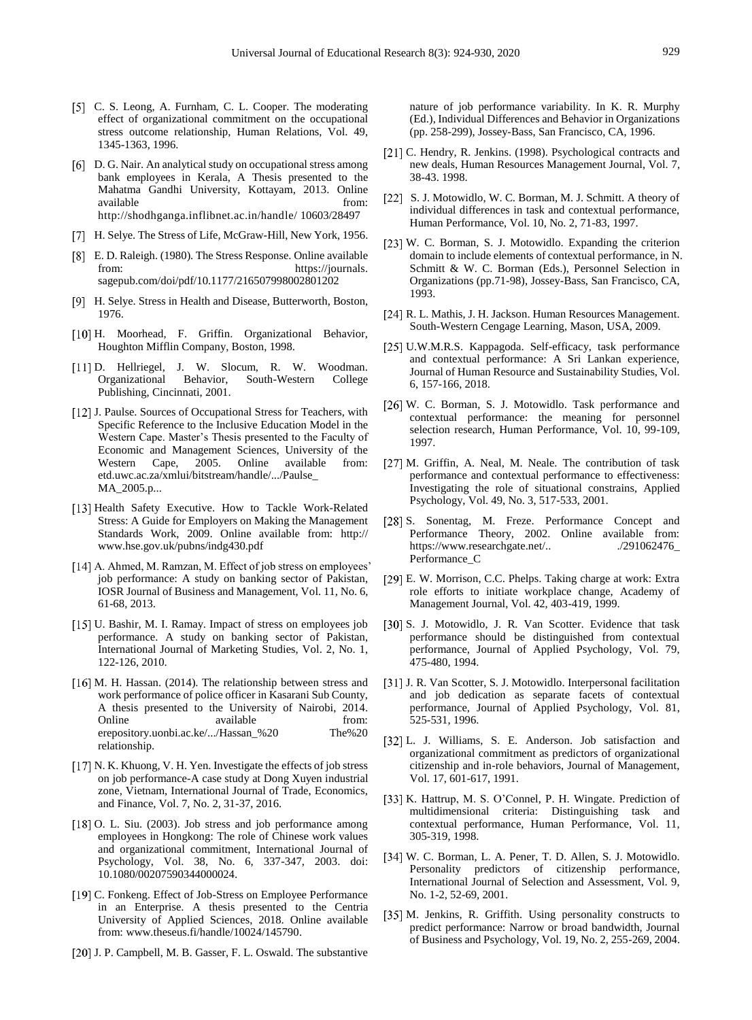- [5] C. S. Leong, A. Furnham, C. L. Cooper. The moderating effect of organizational commitment on the occupational stress outcome relationship, Human Relations, Vol. 49, 1345-1363, 1996.
- [6] D. G. Nair. An analytical study on occupational stress among bank employees in Kerala, A Thesis presented to the Mahatma Gandhi University, Kottayam, 2013. Online available from: <http://shodhganga.inflibnet.ac.in/handle/> 10603/28497
- [7] H. Selye. The Stress of Life, McGraw-Hill, New York, 1956.
- E. D. Raleigh. (1980). The Stress Response. Online available from: https://journals. sagepub.com/doi/pdf/10.1177/216507998002801202
- [9] H. Selye. Stress in Health and Disease, Butterworth, Boston, 1976.
- [10] H. Moorhead, F. Griffin. Organizational Behavior, Houghton Mifflin Company, Boston, 1998.
- [11] D. Hellriegel, J. W. Slocum, R. W. Woodman. Organizational Behavior, South-Western College Publishing, Cincinnati, 2001.
- [12] J. Paulse. Sources of Occupational Stress for Teachers, with Specific Reference to the Inclusive Education Model in the Western Cape. Master's Thesis presented to the Faculty of Economic and Management Sciences, University of the Western Cape, 2005. Online available from: [etd.uwc.ac.za/xmlui/bitstream/handle/.../Paulse\\_](https://www.google.com/url?sa=t&rct=j&q=&esrc=s&source=web&cd=1&cad=rja&uact=8&ved=2ahUKEwi2n8utqtvgAhXEdysKHS7-B5MQFjAAegQICRAC&url=http%3A%2F%2Fetd.uwc.ac.za%2Fxmlui%2Fbitstream%2Fhandle%2F11394%2F1895%2FPaulse_MA_2005.pdf&usg=AOvVaw09YwJZ4wA8SWyRfrKrn4OH)  [MA\\_2005.p...](https://www.google.com/url?sa=t&rct=j&q=&esrc=s&source=web&cd=1&cad=rja&uact=8&ved=2ahUKEwi2n8utqtvgAhXEdysKHS7-B5MQFjAAegQICRAC&url=http%3A%2F%2Fetd.uwc.ac.za%2Fxmlui%2Fbitstream%2Fhandle%2F11394%2F1895%2FPaulse_MA_2005.pdf&usg=AOvVaw09YwJZ4wA8SWyRfrKrn4OH)
- [13] Health Safety Executive. How to Tackle Work-Related Stress: A Guide for Employers on Making the Management Standards Work, 2009. Online available from: http:// [www.hse.gov.uk/pubns/indg430.pdf](http://www.hse.gov.uk/pubns/indg430.pdf)
- [14] A. Ahmed, M. Ramzan, M. Effect of job stress on employees' job performance: A study on banking sector of Pakistan, IOSR Journal of Business and Management, Vol. 11, No. 6, 61-68, 2013.
- [15] U. Bashir, M. I. Ramay. Impact of stress on employees job performance. A study on banking sector of Pakistan, International Journal of Marketing Studies, Vol. 2, No. 1, 122-126, 2010.
- [16] M. H. Hassan. (2014). The relationship between stress and work performance of police officer in Kasarani Sub County, A thesis presented to the University of Nairobi, 2014. Online available from: [erepository.uonbi.ac.ke/.../Hassan\\_%20 The%20](https://www.google.com/url?sa=t&rct=j&q=&esrc=s&source=web&cd=1&cad=rja&uact=8&ved=2ahUKEwiB7_eyo8rgAhUaXysKHdfTA04QFjAAegQIBBAC&url=http%3A%2F%2Ferepository.uonbi.ac.ke%2Fbitstream%2Fhandle%2F11295%2F93715%2FHassan_%2520The%2520relationship%2520between%2520stress%2520and%2520work%2520performance%2520of%2520police%2520officers%2520in%2520kasarani%2520sub-county.pdf%3Fsequence%3D6%26isAllowed%3Dy&usg=AOvVaw1u_nUWO3Z3okSkfOTNiomd)  [relationship.](https://www.google.com/url?sa=t&rct=j&q=&esrc=s&source=web&cd=1&cad=rja&uact=8&ved=2ahUKEwiB7_eyo8rgAhUaXysKHdfTA04QFjAAegQIBBAC&url=http%3A%2F%2Ferepository.uonbi.ac.ke%2Fbitstream%2Fhandle%2F11295%2F93715%2FHassan_%2520The%2520relationship%2520between%2520stress%2520and%2520work%2520performance%2520of%2520police%2520officers%2520in%2520kasarani%2520sub-county.pdf%3Fsequence%3D6%26isAllowed%3Dy&usg=AOvVaw1u_nUWO3Z3okSkfOTNiomd)
- [17] N. K. Khuong, V. H. Yen. Investigate the effects of job stress on job performance-A case study at Dong Xuyen industrial zone, Vietnam, International Journal of Trade, Economics, and Finance, Vol. 7, No. 2, 31-37, 2016.
- [18] O. L. Siu. (2003). Job stress and job performance among employees in Hongkong: The role of Chinese work values and organizational commitment, International Journal of Psychology, Vol. 38, No. 6, 337-347, 2003. doi: 10.1080/00207590344000024.
- [19] C. Fonkeng. Effect of Job-Stress on Employee Performance in an Enterprise. A thesis presented to the Centria University of Applied Sciences, 2018. Online available from: [www.theseus.fi/handle/10024/145790.](http://www.theseus.fi/handle/10024/145790)
- [20] J. P. Campbell, M. B. Gasser, F. L. Oswald. The substantive

nature of job performance variability. In K. R. Murphy (Ed.), Individual Differences and Behavior in Organizations (pp. 258-299), Jossey-Bass, San Francisco, CA, 1996.

- [21] C. Hendry, R. Jenkins. (1998). Psychological contracts and new deals, Human Resources Management Journal, Vol. 7, 38-43. 1998.
- [22] S. J. Motowidlo, W. C. Borman, M. J. Schmitt. A theory of individual differences in task and contextual performance, Human Performance, Vol. 10, No. 2, 71-83, 1997.
- [23] W. C. Borman, S. J. Motowidlo. Expanding the criterion domain to include elements of contextual performance, in N. Schmitt & W. C. Borman (Eds.), Personnel Selection in Organizations (pp.71-98), Jossey-Bass, San Francisco, CA, 1993.
- [24] R. L. Mathis, J. H. Jackson. Human Resources Management. South-Western Cengage Learning, Mason, USA, 2009.
- [25] U.W.M.R.S. Kappagoda. Self-efficacy, task performance and contextual performance: A Sri Lankan experience, Journal of Human Resource and Sustainability Studies, Vol. 6, 157-166, 2018.
- [26] W. C. Borman, S. J. Motowidlo. Task performance and contextual performance: the meaning for personnel selection research, Human Performance, Vol. 10, 99-109, 1997.
- [27] M. Griffin, A. Neal, M. Neale. The contribution of task performance and contextual performance to effectiveness: Investigating the role of situational constrains, Applied Psychology, Vol. 49, No. 3, 517-533, 2001.
- [28] S. Sonentag, M. Freze. Performance Concept and Performance Theory, 2002. Online available from: https://www.researchgate.net/.. /291062476\_ [Performance\\_C](https://www.researchgate.net/..%20./291062476_%20Performance_C)
- [29] E. W. Morrison, C.C. Phelps. Taking charge at work: Extra role efforts to initiate workplace change, Academy of Management Journal, Vol. 42, 403-419, 1999.
- [30] S. J. Motowidlo, J. R. Van Scotter. Evidence that task performance should be distinguished from contextual performance, Journal of Applied Psychology, Vol. 79, 475-480, 1994.
- [31] J. R. Van Scotter, S. J. Motowidlo. Interpersonal facilitation and job dedication as separate facets of contextual performance, Journal of Applied Psychology, Vol. 81, 525-531, 1996.
- [32] L. J. Williams, S. E. Anderson. Job satisfaction and organizational commitment as predictors of organizational citizenship and in-role behaviors, Journal of Management, Vol. 17, 601-617, 1991.
- [33] K. Hattrup, M. S. O'Connel, P. H. Wingate. Prediction of multidimensional criteria: Distinguishing task and contextual performance, Human Performance, Vol. 11, 305-319, 1998.
- [34] W. C. Borman, L. A. Pener, T. D. Allen, S. J. Motowidlo. Personality predictors of citizenship performance, International Journal of Selection and Assessment, Vol. 9, No. 1-2, 52-69, 2001.
- [35] M. Jenkins, R. Griffith. Using personality constructs to predict performance: Narrow or broad bandwidth, Journal of Business and Psychology, Vol. 19, No. 2, 255-269, 2004.